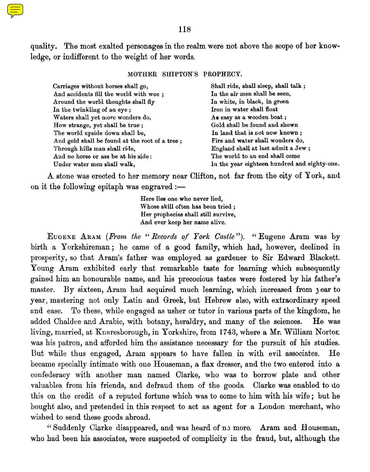

quality. The most exalted personages in the realm were not above the scope of her knowledge, or indifferent to the weight of her words.

MOTHER SHIPTON'S PROPHECY.

| Carriages without horses shall go,             | Shall ride, shall sleep, shall talk;         |
|------------------------------------------------|----------------------------------------------|
| And accidents fill the world with woe ;        | In the air men shall be seen,                |
| Around the world thoughts shall fly            | In white, in black, in green                 |
| In the twinkling of an eye;                    | Iron in water shall float                    |
| Waters shall yet more wonders do,              | As easy as a wooden boat;                    |
| How strange, yet shall be true ;               | Gold shall be found and shown                |
| The world upside down shall be,                | In land that is not now known:               |
| And gold shall be found at the root of a tree; | Fire and water shall wonders do,             |
| Through hills man shall ride,                  | England shall at last admit a Jew;           |
| And no horse or ass be at his side:            | The world to an end shall come               |
| Under water men shall walk,                    | In the year eighteen hundred and eighty-one. |

A stone was erected to her memory near Clifton, not far from the city of York, an d on it the following epitaph was engraved:

> Here lies one who never lied, Whose skill often has been tried; Her prophecies shall still survive, And ever keep her name alive.

EUGENE ARAM *(From the " Records of York Castle"). " Eugene Aram was by birth a Yorkshireman ; he came of a good family, which had, however, declined in prosperity, so that Aram's father was employed as gardener to Sir Edward Blacket.. Young Aram exhibited early that remarkable taste for learning which subsequently gained him an honourable name, and his precocious tastes were fostered by his father's master. By sixteen, Aram had acquired much learning, which increased from 3 ear to year, mastering not only Latin and Greek, but Hebrew also, with extraordinary speed and ease. To these, while engaged as usher or tutor in various parts of the kingdom, he added Chaldee and Arabic, with botany, heraldry, and many of the sciences . He was living, married, at Knaresborough, in Yorkshire, from 1743, where a Mr. William Nortor* was his patron, and afforded him the assistance necessary for the pursuit of his studies. *But while thus engaged, Aram appears to have fallen in with evil associates. He became specially intimate with one Houseman, a flax dresser, and the two entered into a confederacy with another man named Clarke, who was to borrow plate and other valuables from his friends, and defraud them of the goods. Clarke was enabled to do this on the credit of a reputed fortune which was to come to him with his wife ; but he bought also, and pretended in this respect to act as agent for a London merchant, who wished to send these goods abroad.*

Suddenly Clarke disappeared, and was heard of n3 more. Aram and Houseman, who had been his associates, were suspected of complicity in the fraud, but, although the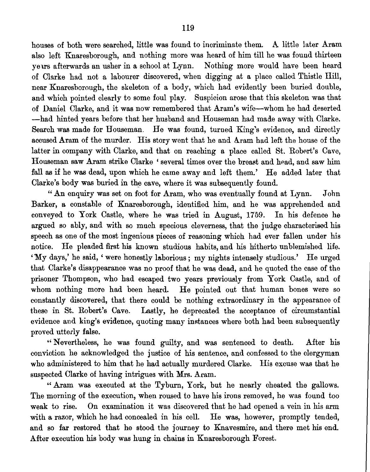houses of both were searched, little was found to incriminate them. A little later Aram also left Knaresborough, and nothing more was heard of him till he was found thirteen years afterwards an usher in a school at Lynn. Nothing more would have been heard of Clarke had not a labourer discovered, when digging at a place called Thistle Hill, near Knaresborough, the skeleton of a body, which had evidently been buried double, and which pointed clearly to some foul play. Suspicion arose that this skeleton was that of Daniel Clarke, and it was now remembered that Aram's wife—whom he had deserted —had hinted years before that her husband and Houseman had made away with Clarke.. Search was made for Houseman . He was found, turned King's evidence, and directly accused Aram of the murder. His story went that he and Aram had left the house of the latter in company with Clarke, and that on reaching a place called St. Robert's Cave, Houseman saw Aram strike Clarke ' several times over the breast and head, and saw him fall as if he was dead, upon which he came away and left them.' He added later that Clarke's body was buried in the cave, where it was subsequently found.

" An enquiry was set on foot for Aram, who was eventually found at Lynn . John Barker, a constable of Knaresborough, identified him, and he was apprehended and conveyed to York Castle, where he was tried in August, 1759. In his defence he argued so ably, and with so much specious cleverness, that the judge characterised his speech as one of the most ingenious pieces of reasoning which had ever fallen under his notice. He pleaded first his known studious habits, and his hitherto unblemished life. 'My days,' he said, ' were honestly laborious; my nights intensely studious.' He urged that Clarke's disappearance was no proof that he was dead, and he quoted the case of the prisoner Thompson, who had escaped two years previously from York Castle, and of whom nothing more had been heard. He pointed out that human bones were so constantly discovered, that there could be nothing extraordinary in the appearance of these in St. Robert's Cave . Lastly, he deprecated the acceptance of circumstantial evidence and king's evidence, quoting many instances where both had been subsequently proved utterly false.

" Nevertheless, he was found guilty, and was sentenced to death . After his conviction he acknowledged the justice of his sentence, and confessed to the clergyman who administered to him that he had actually murdered Clarke. His excuse was that he suspected Clarke of having intrigues with Mrs. Aram.

" Aram was executed at the Tyburn, York, but he nearly cheated the gallows. The morning of the execution, when roused to have his irons removed, he was found too weak to rise. On examination it was discovered that he had opened a vein in his arm with a razor, which he had concealed in his cell. He was, however, promptly tended, and so far restored that he stood the journey to Knavesmire, and there met his end. After execution his body was hung in chains in Knaresborough Forest.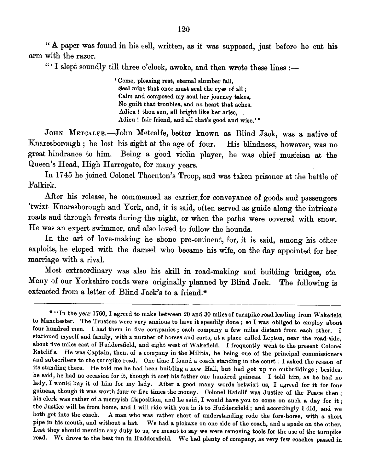" A paper was found in his cell, written, as it was supposed, just before he cut his arm with the razor.

"' I slept soundly till three o'clock, awoke, and then wrote these lines:-

`Come, pleasing rest, eternal slumber fall, Seal mine that once must seal the eyes of all; Calm and composed my soul her journey takes, No guilt that troubles, and no heart that aches. Adieu ! thou sun, all bright like her arise, Adieu ! fair friend, and all that's good and wise.'"

JOHN METCALFE.—JOhn Metcalfe, better known as Blind Jack, was a native of Knaresborough ; he lost his sight at the age of four. His blindness, however, was no great hindrance to him. Being a good violin player, he was chief musician at the Queen's Head, High Harrogate, for many years.

In 1745 he joined Colonel Thornton 's Troop, and was taken prisoner at the battle of Falkirk.

After his release, he commenced as carrier for conveyance of goods and passengers 'twixt Knaresborough and York, and, it is said, often served as guide along the intricate roads and through forests during the night, or when the paths were covered with snow. He was an expert swimmer, and also loved to follow the hounds.

In the art of love-making he shone pre-eminent, for, it is said, among his other exploits, he eloped with the damsel who became his wife, on the day appointed for her marriage with a rival.

Most extraordinary was also his skill in road-making and building bridges, etc. Many of our Yorkshire roads were originally planned by Blind Jack. The following is extracted from a letter of Blind Jack's to a friend.\*

<sup>\* &</sup>quot;In the year 1760, I agreed to make between 20 and 30 miles of turnpike road leading from Wakefield to Manchester. The Trustees were very anxious to have it speedily done; so I was obliged to employ about four hundred men. I had them in five companies; each company a few miles distant from each other. I stationed myself and family, with a number of horses and carts, at a place called Lepton, near the road-side, about five miles east of Huddersfield, and eight west of Wakefield. I frequently went to the present Colonel Ratclif's. He was Captain, then, of a company in the Militia, he being one of the principal commissioners and subscribers to the turnpike road. One time I found a coach standing in the court : I asked the reason of its standing there. He told me he had been building a new Hall, but had got up no outbuildings; besides, he said, he had no occasion for it, though it cost his father one hundred guineas . I told him, as be had no lady, I would buy it of him for my lady. After a good many words betwixt us, I agreed for it for four guineas, though it was worth four or five times the money. Colonel Ratclif was Justice of the Peace then; his clerk was rather of a merryish disposition, and he said, I would have you to come on such a day for it; the Justice will be from home, and I will ride with you in it to Huddersfield; and accordingly I did, and we both got into the coach. A man who was rather short of understanding rode the fore-horse, with a short A man who was rather short of understanding rode the fore-horse, with a short pipe in his mouth, and without a hat. We had a pickaxe on one side of the coach, and a spade on the other. Lest they should mention any duty to us, we meant to say we were removing tools for the use of the turnpike road. We drove to the best inn in Huddersfield. We had plenty of company, as very few coaches passed in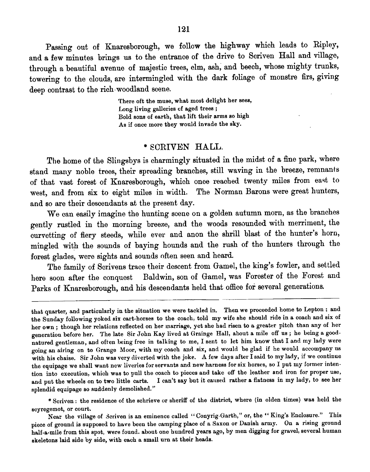Passing out of Knaresborough, we follow the highway which leads to Ripley, and a few minutes brings us to the entrance of the drive to Scriven Hall and village, through a beautiful avenue of majestic trees, elm, ash, and beech, whose mighty trunks, towering to the clouds, are intermingled with the dark foliage of monstre firs, giving deep contrast to the rich-woodland scene.

> There oft the muse, what most delight her sees, Long living galleries of aged trees; Bold sons of earth, that lift their arms so high As if once more they would invade the sky.

## \* SCRIVEN HALL.

The home of the Slingsbys is charmingly situated in the midst of a fine park, where stand many noble trees, their spreading branches, still waving in the breeze, remnants of that vast forest of Knaresborough, which once reached twenty miles from east to west, and from six to eight miles in width. The Norman Barons were great hunters, and so are their descendants at the present day.

We can easily imagine the hunting scene on a golden autumn morn, as the branches gently rustled in the morning breeze, and the woods resounded with merriment, the curvetting of fiery steeds, while ever and anon the shrill blast of the hunter's horn, mingled with the sounds of baying hounds and the rush of the hunters through the forest glades, were sights and sounds often seen and heard.

The family of Scrivens trace their descent from Gamel, the king's fowler, and settled here soon after the conquest Baldwin, son of Gamel, was Forester of the Forest and Parks of Knaresborough, and his descendants held that office for several generations.

that quarter, and particularly in the situation we were tackled in. Then we proceeded home to Lepton : and the Sunday following yoked six cart-horses to the coach, told my wife she should ride in a coach and six of her own; though her relations reflected on her marriage, yet she had risen to a greater pitch than any of her generation before her. The late Sir John Kay lived at Grainge Hall, about a mile off us; he being a goodnatured gentleman, and often being free in talking to me, I sent to let him know that I and my lady were going an airing on to Grange Moor, with my coach and six, and would be glad if he would accompany us with his chaise. Sir John was very diverted with the joke. A few days after I said to my lady, if we continue the equipage we shall want new liveries for servants and new harness for six horses, so I put my former intention into execution, which was to pull the coach to pieces and take off the leather and iron for proper use, and put the wheels on to two little carts. I can't say but it caused rather a flatness in my lady, to see her splendid equipage so suddenly demolished."

<sup>\*</sup> Scriven : the residence of the schrieve or sheriff of the district, where (in olden times) was held the scyregemot, or court.

Near the village of Scriven is an eminence called "Conyrig-Garth," or, the "King's Enclosure." This piece of ground is supposed to have been the camping place of a Saxon or Danish army. On a rising ground half-a-mile from this spot, were found. about one hundred years ago, by men digging for gravel, several human skeletons laid side by side, with each a small urn at their heads.